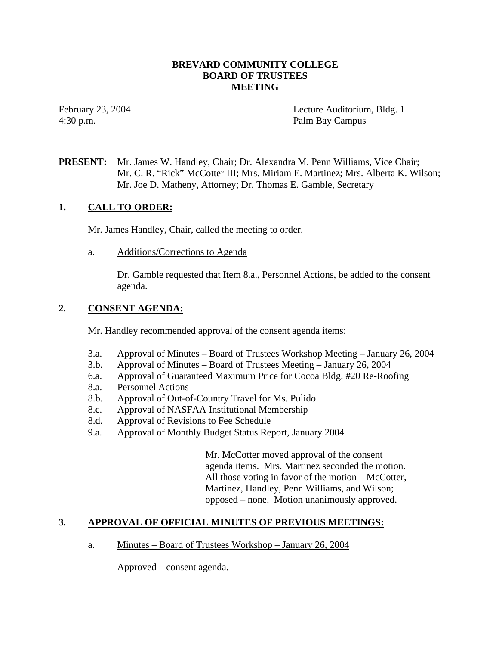### **BREVARD COMMUNITY COLLEGE BOARD OF TRUSTEES MEETING**

February 23, 2004 Lecture Auditorium, Bldg. 1 4:30 p.m. Palm Bay Campus

# **PRESENT:** Mr. James W. Handley, Chair; Dr. Alexandra M. Penn Williams, Vice Chair; Mr. C. R. "Rick" McCotter III; Mrs. Miriam E. Martinez; Mrs. Alberta K. Wilson; Mr. Joe D. Matheny, Attorney; Dr. Thomas E. Gamble, Secretary

## **1. CALL TO ORDER:**

Mr. James Handley, Chair, called the meeting to order.

a. Additions/Corrections to Agenda

Dr. Gamble requested that Item 8.a., Personnel Actions, be added to the consent agenda.

# **2. CONSENT AGENDA:**

Mr. Handley recommended approval of the consent agenda items:

- 3.a. Approval of Minutes Board of Trustees Workshop Meeting January 26, 2004
- 3.b. Approval of Minutes Board of Trustees Meeting January 26, 2004
- 6.a. Approval of Guaranteed Maximum Price for Cocoa Bldg. #20 Re-Roofing
- 8.a. Personnel Actions
- 8.b. Approval of Out-of-Country Travel for Ms. Pulido
- 8.c. Approval of NASFAA Institutional Membership
- 8.d. Approval of Revisions to Fee Schedule
- 9.a. Approval of Monthly Budget Status Report, January 2004

Mr. McCotter moved approval of the consent agenda items. Mrs. Martinez seconded the motion. All those voting in favor of the motion – McCotter, Martinez, Handley, Penn Williams, and Wilson; opposed – none. Motion unanimously approved.

# **3. APPROVAL OF OFFICIAL MINUTES OF PREVIOUS MEETINGS:**

a. Minutes – Board of Trustees Workshop – January 26, 2004

Approved – consent agenda.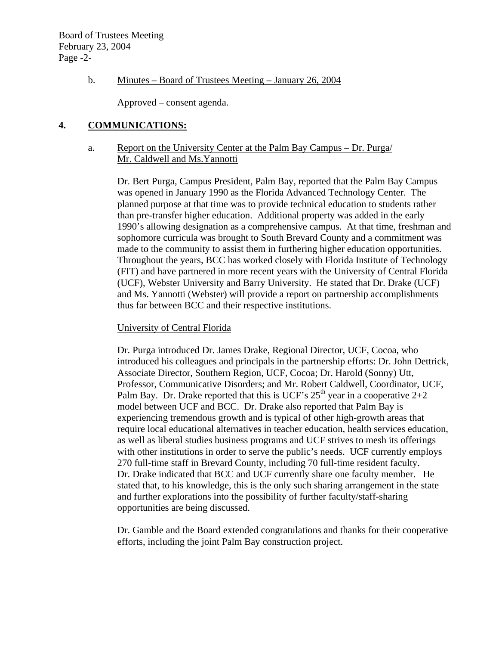### b. Minutes – Board of Trustees Meeting – January 26, 2004

Approved – consent agenda.

### **4. COMMUNICATIONS:**

#### a. Report on the University Center at the Palm Bay Campus – Dr. Purga/ Mr. Caldwell and Ms.Yannotti

Dr. Bert Purga, Campus President, Palm Bay, reported that the Palm Bay Campus was opened in January 1990 as the Florida Advanced Technology Center. The planned purpose at that time was to provide technical education to students rather than pre-transfer higher education. Additional property was added in the early 1990's allowing designation as a comprehensive campus. At that time, freshman and sophomore curricula was brought to South Brevard County and a commitment was made to the community to assist them in furthering higher education opportunities. Throughout the years, BCC has worked closely with Florida Institute of Technology (FIT) and have partnered in more recent years with the University of Central Florida (UCF), Webster University and Barry University. He stated that Dr. Drake (UCF) and Ms. Yannotti (Webster) will provide a report on partnership accomplishments thus far between BCC and their respective institutions.

#### University of Central Florida

Dr. Purga introduced Dr. James Drake, Regional Director, UCF, Cocoa, who introduced his colleagues and principals in the partnership efforts: Dr. John Dettrick, Associate Director, Southern Region, UCF, Cocoa; Dr. Harold (Sonny) Utt, Professor, Communicative Disorders; and Mr. Robert Caldwell, Coordinator, UCF, Palm Bay. Dr. Drake reported that this is UCF's  $25<sup>th</sup>$  year in a cooperative  $2+2$ model between UCF and BCC. Dr. Drake also reported that Palm Bay is experiencing tremendous growth and is typical of other high-growth areas that require local educational alternatives in teacher education, health services education, as well as liberal studies business programs and UCF strives to mesh its offerings with other institutions in order to serve the public's needs. UCF currently employs 270 full-time staff in Brevard County, including 70 full-time resident faculty. Dr. Drake indicated that BCC and UCF currently share one faculty member. He stated that, to his knowledge, this is the only such sharing arrangement in the state and further explorations into the possibility of further faculty/staff-sharing opportunities are being discussed.

Dr. Gamble and the Board extended congratulations and thanks for their cooperative efforts, including the joint Palm Bay construction project.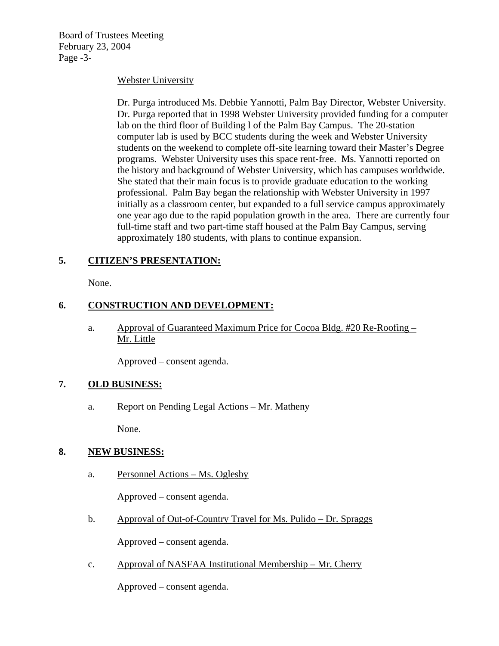Board of Trustees Meeting February 23, 2004 Page -3-

### Webster University

Dr. Purga introduced Ms. Debbie Yannotti, Palm Bay Director, Webster University. Dr. Purga reported that in 1998 Webster University provided funding for a computer lab on the third floor of Building l of the Palm Bay Campus. The 20-station computer lab is used by BCC students during the week and Webster University students on the weekend to complete off-site learning toward their Master's Degree programs. Webster University uses this space rent-free. Ms. Yannotti reported on the history and background of Webster University, which has campuses worldwide. She stated that their main focus is to provide graduate education to the working professional. Palm Bay began the relationship with Webster University in 1997 initially as a classroom center, but expanded to a full service campus approximately one year ago due to the rapid population growth in the area. There are currently four full-time staff and two part-time staff housed at the Palm Bay Campus, serving approximately 180 students, with plans to continue expansion.

## **5. CITIZEN'S PRESENTATION:**

None.

# **6. CONSTRUCTION AND DEVELOPMENT:**

a. Approval of Guaranteed Maximum Price for Cocoa Bldg. #20 Re-Roofing – Mr. Little

Approved – consent agenda.

### **7. OLD BUSINESS:**

a. Report on Pending Legal Actions – Mr. Matheny

None.

### **8. NEW BUSINESS:**

a. Personnel Actions – Ms. Oglesby

Approved – consent agenda.

b. Approval of Out-of-Country Travel for Ms. Pulido – Dr. Spraggs

Approved – consent agenda.

c. Approval of NASFAA Institutional Membership – Mr. Cherry

Approved – consent agenda.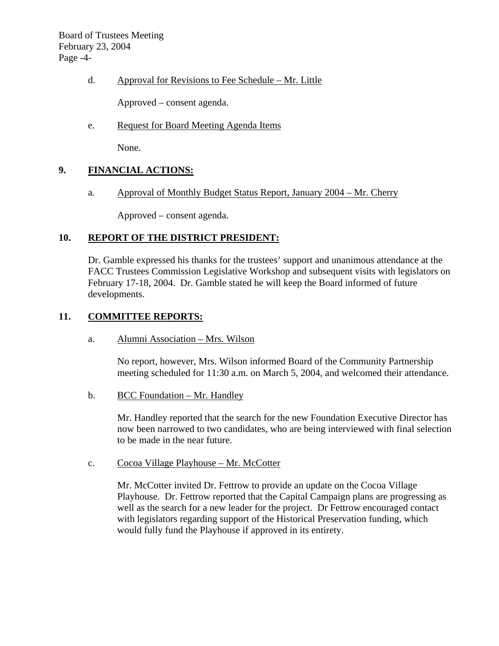Board of Trustees Meeting February 23, 2004 Page -4-

d. Approval for Revisions to Fee Schedule – Mr. Little

Approved – consent agenda.

e. Request for Board Meeting Agenda Items

None.

## **9. FINANCIAL ACTIONS:**

a. Approval of Monthly Budget Status Report, January 2004 – Mr. Cherry

Approved – consent agenda.

## **10. REPORT OF THE DISTRICT PRESIDENT:**

Dr. Gamble expressed his thanks for the trustees' support and unanimous attendance at the FACC Trustees Commission Legislative Workshop and subsequent visits with legislators on February 17-18, 2004. Dr. Gamble stated he will keep the Board informed of future developments.

### **11. COMMITTEE REPORTS:**

a. Alumni Association – Mrs. Wilson

No report, however, Mrs. Wilson informed Board of the Community Partnership meeting scheduled for 11:30 a.m. on March 5, 2004, and welcomed their attendance.

b. BCC Foundation – Mr. Handley

Mr. Handley reported that the search for the new Foundation Executive Director has now been narrowed to two candidates, who are being interviewed with final selection to be made in the near future.

c. Cocoa Village Playhouse – Mr. McCotter

Mr. McCotter invited Dr. Fettrow to provide an update on the Cocoa Village Playhouse. Dr. Fettrow reported that the Capital Campaign plans are progressing as well as the search for a new leader for the project. Dr Fettrow encouraged contact with legislators regarding support of the Historical Preservation funding, which would fully fund the Playhouse if approved in its entirety.